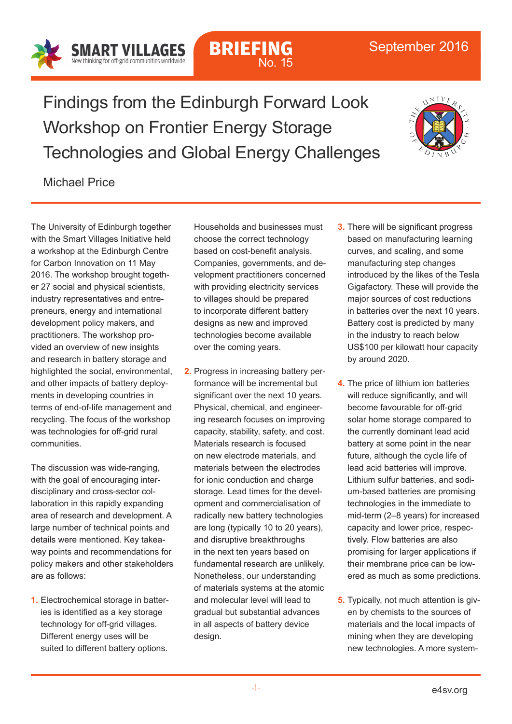Findings from the Edinburgh Forward Look Workshop on Frontier Energy Storage Technologies and Global Energy Challenges

**BRIEFING**

No. 15



## Michael Price

SMART VILLAGES New thinking for off-grid communities worldwi

The University of Edinburgh together with the Smart Villages Initiative held a workshop at the Edinburgh Centre for Carbon Innovation on 11 May 2016. The workshop brought together 27 social and physical scientists, industry representatives and entrepreneurs, energy and international development policy makers, and practitioners. The workshop provided an overview of new insights and research in battery storage and highlighted the social, environmental, and other impacts of battery deployments in developing countries in terms of end-of-life management and recycling. The focus of the workshop was technologies for off-grid rural communities.

The discussion was wide-ranging, with the goal of encouraging interdisciplinary and cross-sector collaboration in this rapidly expanding area of research and development. A large number of technical points and details were mentioned. Key takeaway points and recommendations for policy makers and other stakeholders are as follows:

**1.** Electrochemical storage in batteries is identified as a key storage technology for off-grid villages. Different energy uses will be suited to different battery options.

Households and businesses must choose the correct technology based on cost-benefit analysis. Companies, governments, and development practitioners concerned with providing electricity services to villages should be prepared to incorporate different battery designs as new and improved technologies become available over the coming years.

- **2.** Progress in increasing battery performance will be incremental but significant over the next 10 years. Physical, chemical, and engineering research focuses on improving capacity, stability, safety, and cost. Materials research is focused on new electrode materials, and materials between the electrodes for ionic conduction and charge storage. Lead times for the development and commercialisation of radically new battery technologies are long (typically 10 to 20 years), and disruptive breakthroughs in the next ten years based on fundamental research are unlikely. Nonetheless, our understanding of materials systems at the atomic and molecular level will lead to gradual but substantial advances in all aspects of battery device design.
- **3.** There will be significant progress based on manufacturing learning curves, and scaling, and some manufacturing step changes introduced by the likes of the Tesla Gigafactory. These will provide the major sources of cost reductions in batteries over the next 10 years. Battery cost is predicted by many in the industry to reach below US\$100 per kilowatt hour capacity by around 2020.
- **4.** The price of lithium ion batteries will reduce significantly, and will become favourable for off-grid solar home storage compared to the currently dominant lead acid battery at some point in the near future, although the cycle life of lead acid batteries will improve. Lithium sulfur batteries, and sodium-based batteries are promising technologies in the immediate to mid-term (2–8 years) for increased capacity and lower price, respectively. Flow batteries are also promising for larger applications if their membrane price can be lowered as much as some predictions.
- **5.** Typically, not much attention is given by chemists to the sources of materials and the local impacts of mining when they are developing new technologies. A more system-